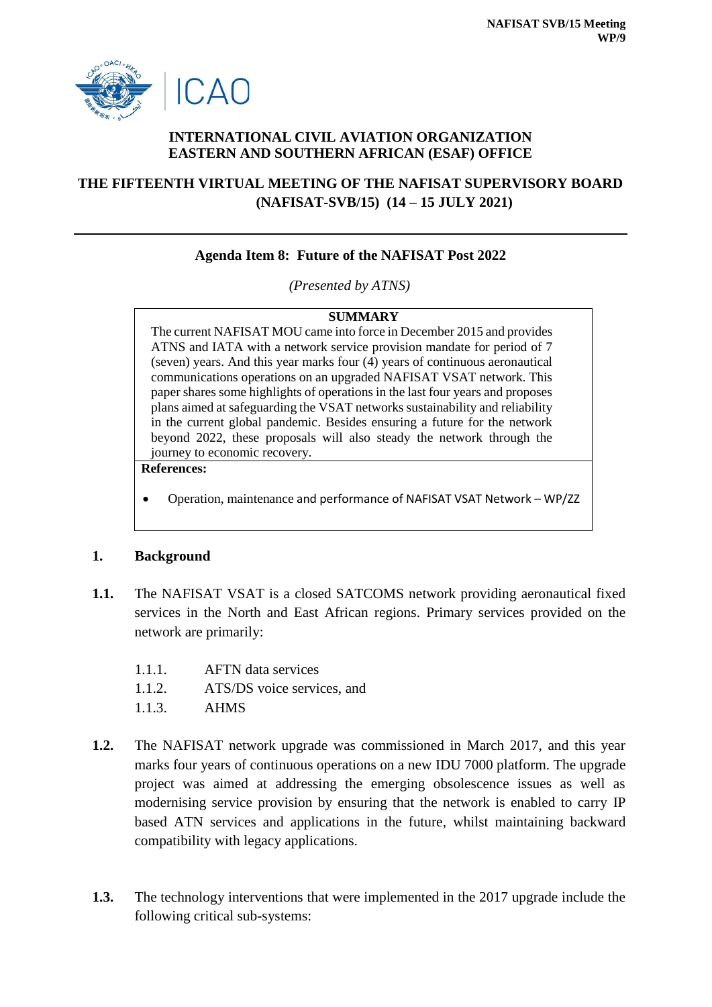

## **INTERNATIONAL CIVIL AVIATION ORGANIZATION EASTERN AND SOUTHERN AFRICAN (ESAF) OFFICE**

# **THE FIFTEENTH VIRTUAL MEETING OF THE NAFISAT SUPERVISORY BOARD (NAFISAT-SVB/15) (14 – 15 JULY 2021)**

### **Agenda Item 8: Future of the NAFISAT Post 2022**

*(Presented by ATNS)*

#### **SUMMARY**

The current NAFISAT MOU came into force in December 2015 and provides ATNS and IATA with a network service provision mandate for period of 7 (seven) years. And this year marks four (4) years of continuous aeronautical communications operations on an upgraded NAFISAT VSAT network. This paper shares some highlights of operations in the last four years and proposes plans aimed at safeguarding the VSAT networks sustainability and reliability in the current global pandemic. Besides ensuring a future for the network beyond 2022, these proposals will also steady the network through the journey to economic recovery.

#### **References:**

Operation, maintenance and performance of NAFISAT VSAT Network – WP/ZZ

#### **1. Background**

- **1.1.** The NAFISAT VSAT is a closed SATCOMS network providing aeronautical fixed services in the North and East African regions. Primary services provided on the network are primarily:
	- 1.1.1. AFTN data services
	- 1.1.2. ATS/DS voice services, and
	- 1.1.3. AHMS
- **1.2.** The NAFISAT network upgrade was commissioned in March 2017, and this year marks four years of continuous operations on a new IDU 7000 platform. The upgrade project was aimed at addressing the emerging obsolescence issues as well as modernising service provision by ensuring that the network is enabled to carry IP based ATN services and applications in the future, whilst maintaining backward compatibility with legacy applications.
- **1.3.** The technology interventions that were implemented in the 2017 upgrade include the following critical sub-systems: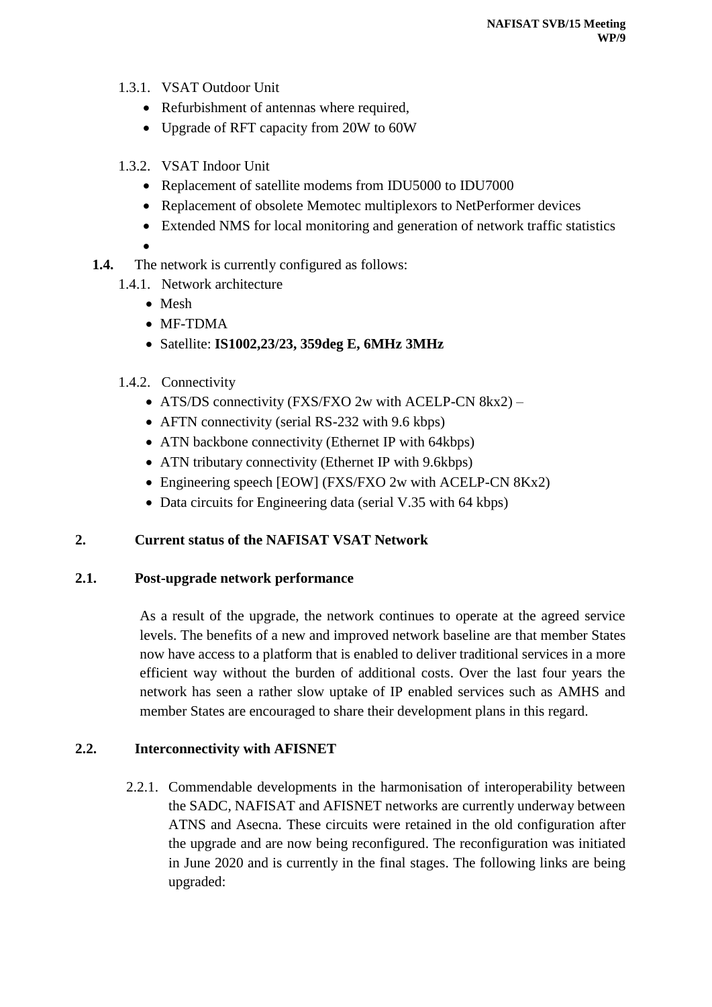- 1.3.1. VSAT Outdoor Unit
	- Refurbishment of antennas where required,
	- Upgrade of RFT capacity from 20W to 60W
- 1.3.2. VSAT Indoor Unit
	- Replacement of satellite modems from IDU5000 to IDU7000
	- Replacement of obsolete Memotec multiplexors to NetPerformer devices
	- Extended NMS for local monitoring and generation of network traffic statistics
	- $\bullet$
- **1.4.** The network is currently configured as follows:
	- 1.4.1. Network architecture
		- Mesh
		- MF-TDMA
		- Satellite: **IS1002,23/23, 359deg E, 6MHz 3MHz**
	- 1.4.2. Connectivity
		- ATS/DS connectivity (FXS/FXO 2w with ACELP-CN 8kx2) –
		- AFTN connectivity (serial RS-232 with 9.6 kbps)
		- ATN backbone connectivity (Ethernet IP with 64kbps)
		- ATN tributary connectivity (Ethernet IP with 9.6kbps)
		- Engineering speech [EOW] (FXS/FXO 2w with ACELP-CN 8Kx2)
		- Data circuits for Engineering data (serial V.35 with 64 kbps)

## **2. Current status of the NAFISAT VSAT Network**

## **2.1. Post-upgrade network performance**

As a result of the upgrade, the network continues to operate at the agreed service levels. The benefits of a new and improved network baseline are that member States now have access to a platform that is enabled to deliver traditional services in a more efficient way without the burden of additional costs. Over the last four years the network has seen a rather slow uptake of IP enabled services such as AMHS and member States are encouraged to share their development plans in this regard.

## **2.2. Interconnectivity with AFISNET**

2.2.1. Commendable developments in the harmonisation of interoperability between the SADC, NAFISAT and AFISNET networks are currently underway between ATNS and Asecna. These circuits were retained in the old configuration after the upgrade and are now being reconfigured. The reconfiguration was initiated in June 2020 and is currently in the final stages. The following links are being upgraded: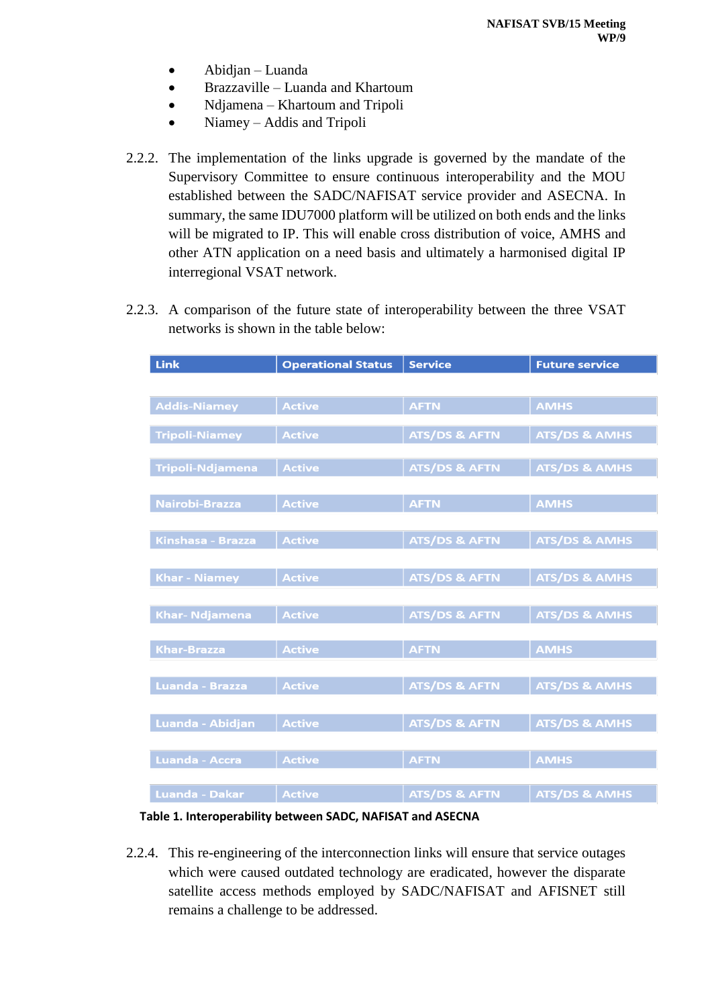- Abidjan Luanda
- Brazzaville Luanda and Khartoum
- Ndjamena Khartoum and Tripoli
- Niamey Addis and Tripoli
- 2.2.2. The implementation of the links upgrade is governed by the mandate of the Supervisory Committee to ensure continuous interoperability and the MOU established between the SADC/NAFISAT service provider and ASECNA. In summary, the same IDU7000 platform will be utilized on both ends and the links will be migrated to IP. This will enable cross distribution of voice, AMHS and other ATN application on a need basis and ultimately a harmonised digital IP interregional VSAT network.
- 2.2.3. A comparison of the future state of interoperability between the three VSAT networks is shown in the table below:

| <b>Link</b>             | <b>Operational Status</b> | <b>Service</b>           | <b>Future service</b>    |  |  |
|-------------------------|---------------------------|--------------------------|--------------------------|--|--|
|                         |                           |                          |                          |  |  |
| <b>Addis-Niamey</b>     | <b>Active</b>             | <b>AFTN</b>              | <b>AMHS</b>              |  |  |
|                         |                           |                          |                          |  |  |
| <b>Tripoli-Niamey</b>   | <b>Active</b>             | <b>ATS/DS &amp; AFTN</b> | <b>ATS/DS &amp; AMHS</b> |  |  |
|                         |                           |                          |                          |  |  |
| <b>Tripoli-Ndjamena</b> | <b>Active</b>             | <b>ATS/DS &amp; AFTN</b> | <b>ATS/DS &amp; AMHS</b> |  |  |
|                         |                           |                          |                          |  |  |
| <b>Nairobi-Brazza</b>   | <b>Active</b>             | <b>AFTN</b>              | <b>AMHS</b>              |  |  |
|                         |                           |                          |                          |  |  |
| Kinshasa - Brazza       | <b>Active</b>             | <b>ATS/DS &amp; AFTN</b> | <b>ATS/DS &amp; AMHS</b> |  |  |
|                         |                           |                          |                          |  |  |
| <b>Khar - Niamey</b>    | <b>Active</b>             | <b>ATS/DS &amp; AFTN</b> | <b>ATS/DS &amp; AMHS</b> |  |  |
|                         |                           |                          |                          |  |  |
| <b>Khar- Ndjamena</b>   | <b>Active</b>             | <b>ATS/DS &amp; AFTN</b> | <b>ATS/DS &amp; AMHS</b> |  |  |
|                         |                           |                          |                          |  |  |
| <b>Khar-Brazza</b>      | <b>Active</b>             | <b>AFTN</b>              | <b>AMHS</b>              |  |  |
|                         |                           |                          |                          |  |  |
| Luanda - Brazza         | <b>Active</b>             | <b>ATS/DS &amp; AFTN</b> | <b>ATS/DS &amp; AMHS</b> |  |  |
|                         |                           |                          |                          |  |  |
| Luanda - Abidjan        | <b>Active</b>             | <b>ATS/DS &amp; AFTN</b> | <b>ATS/DS &amp; AMHS</b> |  |  |
|                         |                           |                          |                          |  |  |
| <b>Luanda - Accra</b>   | <b>Active</b>             | <b>AFTN</b>              | <b>AMHS</b>              |  |  |
|                         |                           |                          |                          |  |  |
| <b>Luanda - Dakar</b>   | <b>Active</b>             | <b>ATS/DS &amp; AFTN</b> | <b>ATS/DS &amp; AMHS</b> |  |  |

#### **Table 1. Interoperability between SADC, NAFISAT and ASECNA**

2.2.4. This re-engineering of the interconnection links will ensure that service outages which were caused outdated technology are eradicated, however the disparate satellite access methods employed by SADC/NAFISAT and AFISNET still remains a challenge to be addressed.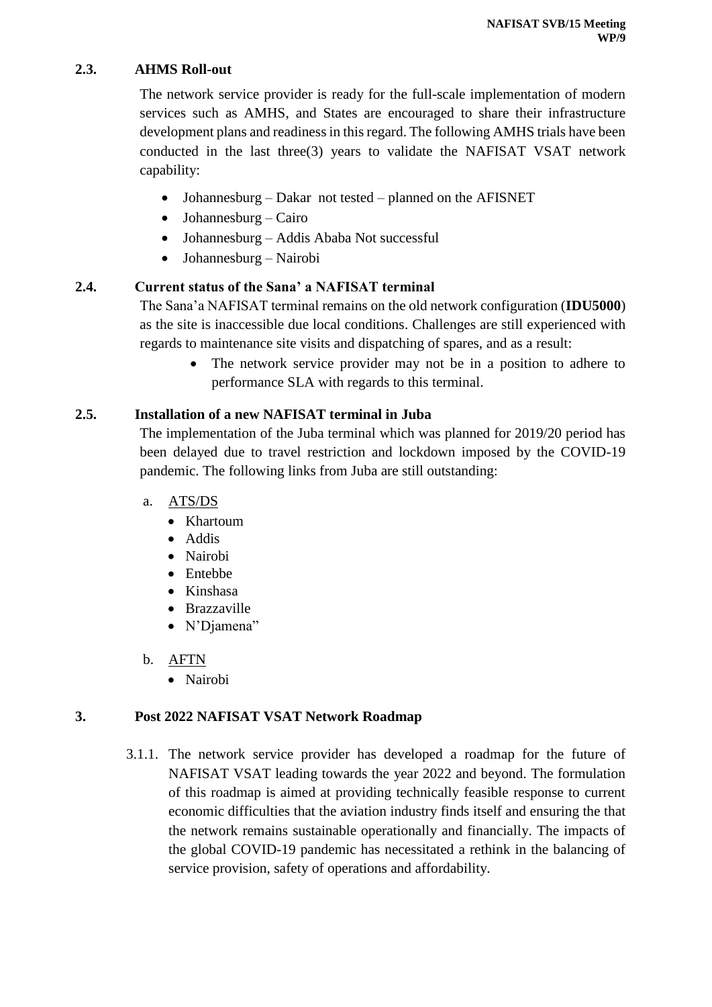### **2.3. AHMS Roll-out**

The network service provider is ready for the full-scale implementation of modern services such as AMHS, and States are encouraged to share their infrastructure development plans and readiness in this regard. The following AMHS trials have been conducted in the last three(3) years to validate the NAFISAT VSAT network capability:

- Johannesburg Dakar not tested planned on the AFISNET
- Johannesburg Cairo
- Johannesburg Addis Ababa Not successful
- Johannesburg Nairobi

## **2.4. Current status of the Sana' a NAFISAT terminal**

The Sana'a NAFISAT terminal remains on the old network configuration (**IDU5000**) as the site is inaccessible due local conditions. Challenges are still experienced with regards to maintenance site visits and dispatching of spares, and as a result:

> The network service provider may not be in a position to adhere to performance SLA with regards to this terminal.

## **2.5. Installation of a new NAFISAT terminal in Juba**

The implementation of the Juba terminal which was planned for 2019/20 period has been delayed due to travel restriction and lockdown imposed by the COVID-19 pandemic. The following links from Juba are still outstanding:

- a. ATS/DS
	- Khartoum
	- Addis
	- Nairobi
	- Entebbe
	- Kinshasa
	- Brazzaville
	- N'Djamena"
- b. AFTN
	- Nairobi

## **3. Post 2022 NAFISAT VSAT Network Roadmap**

3.1.1. The network service provider has developed a roadmap for the future of NAFISAT VSAT leading towards the year 2022 and beyond. The formulation of this roadmap is aimed at providing technically feasible response to current economic difficulties that the aviation industry finds itself and ensuring the that the network remains sustainable operationally and financially. The impacts of the global COVID-19 pandemic has necessitated a rethink in the balancing of service provision, safety of operations and affordability.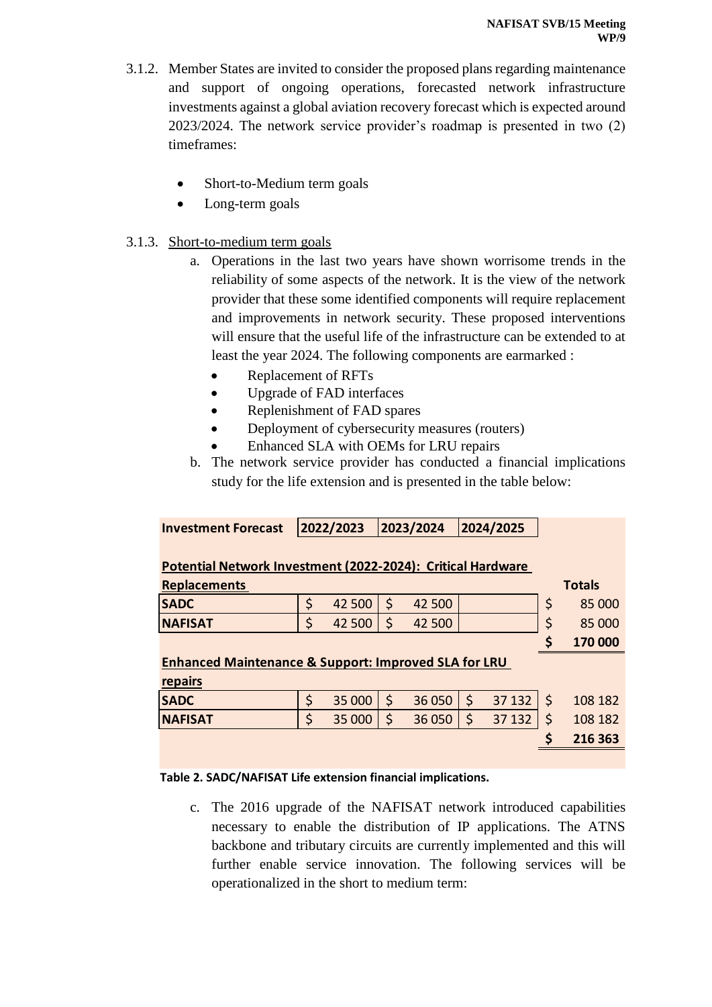- 3.1.2. Member States are invited to consider the proposed plans regarding maintenance and support of ongoing operations, forecasted network infrastructure investments against a global aviation recovery forecast which is expected around 2023/2024. The network service provider's roadmap is presented in two (2) timeframes:
	- Short-to-Medium term goals
	- Long-term goals

### 3.1.3. Short-to-medium term goals

- a. Operations in the last two years have shown worrisome trends in the reliability of some aspects of the network. It is the view of the network provider that these some identified components will require replacement and improvements in network security. These proposed interventions will ensure that the useful life of the infrastructure can be extended to at least the year 2024. The following components are earmarked :
	- Replacement of RFTs
	- Upgrade of FAD interfaces
	- Replenishment of FAD spares
	- Deployment of cybersecurity measures (routers)
	- Enhanced SLA with OEMs for LRU repairs
- b. The network service provider has conducted a financial implications study for the life extension and is presented in the table below:

| <b>Investment Forecast</b>                                      |    | 2022/2023 | 2023/2024 |        | 2024/2025 |        |             |               |  |  |
|-----------------------------------------------------------------|----|-----------|-----------|--------|-----------|--------|-------------|---------------|--|--|
|                                                                 |    |           |           |        |           |        |             |               |  |  |
| Potential Network Investment (2022-2024): Critical Hardware     |    |           |           |        |           |        |             |               |  |  |
| <b>Replacements</b>                                             |    |           |           |        |           |        |             | <b>Totals</b> |  |  |
| <b>SADC</b>                                                     | \$ | 42 500    | \$        | 42 500 |           |        | \$          | 85 000        |  |  |
| <b>NAFISAT</b>                                                  | \$ | 42 500    | \$        | 42 500 |           |        | \$          | 85 000        |  |  |
|                                                                 |    |           |           |        |           |        | \$          | 170 000       |  |  |
| <b>Enhanced Maintenance &amp; Support: Improved SLA for LRU</b> |    |           |           |        |           |        |             |               |  |  |
| repairs                                                         |    |           |           |        |           |        |             |               |  |  |
| <b>SADC</b>                                                     | \$ | 35 000    | $\zeta$   | 36 050 | $\zeta$   | 37 132 | $\varsigma$ | 108 182       |  |  |
| <b>NAFISAT</b>                                                  | \$ | 35 000    | \$        | 36 050 | \$        | 37 132 | \$          | 108 182       |  |  |
|                                                                 |    |           |           |        |           |        | S           | 216 363       |  |  |
|                                                                 |    |           |           |        |           |        |             |               |  |  |

#### **Table 2. SADC/NAFISAT Life extension financial implications.**

c. The 2016 upgrade of the NAFISAT network introduced capabilities necessary to enable the distribution of IP applications. The ATNS backbone and tributary circuits are currently implemented and this will further enable service innovation. The following services will be operationalized in the short to medium term: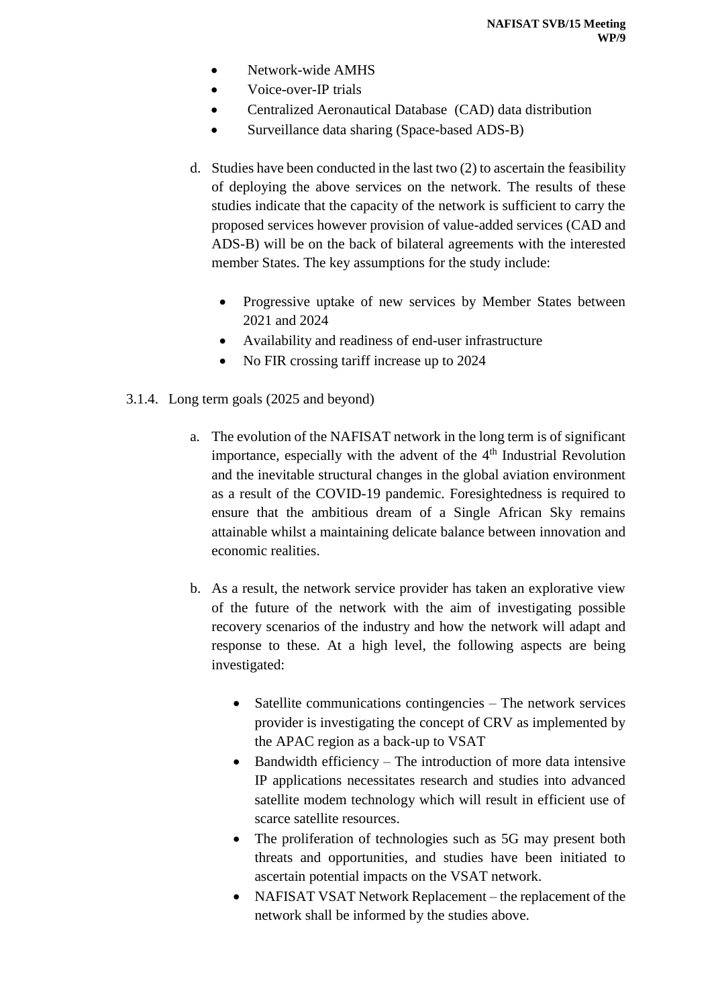- Network-wide AMHS
- Voice-over-IP trials
- Centralized Aeronautical Database (CAD) data distribution
- Surveillance data sharing (Space-based ADS-B)
- d. Studies have been conducted in the last two (2) to ascertain the feasibility of deploying the above services on the network. The results of these studies indicate that the capacity of the network is sufficient to carry the proposed services however provision of value-added services (CAD and ADS-B) will be on the back of bilateral agreements with the interested member States. The key assumptions for the study include:
	- Progressive uptake of new services by Member States between 2021 and 2024
	- Availability and readiness of end-user infrastructure
	- No FIR crossing tariff increase up to 2024
- 3.1.4. Long term goals (2025 and beyond)
	- a. The evolution of the NAFISAT network in the long term is of significant importance, especially with the advent of the  $4<sup>th</sup>$  Industrial Revolution and the inevitable structural changes in the global aviation environment as a result of the COVID-19 pandemic. Foresightedness is required to ensure that the ambitious dream of a Single African Sky remains attainable whilst a maintaining delicate balance between innovation and economic realities.
	- b. As a result, the network service provider has taken an explorative view of the future of the network with the aim of investigating possible recovery scenarios of the industry and how the network will adapt and response to these. At a high level, the following aspects are being investigated:
		- $\bullet$  Satellite communications contingencies The network services provider is investigating the concept of CRV as implemented by the APAC region as a back-up to VSAT
		- Bandwidth efficiency The introduction of more data intensive IP applications necessitates research and studies into advanced satellite modem technology which will result in efficient use of scarce satellite resources.
		- The proliferation of technologies such as 5G may present both threats and opportunities, and studies have been initiated to ascertain potential impacts on the VSAT network.
		- NAFISAT VSAT Network Replacement the replacement of the network shall be informed by the studies above.